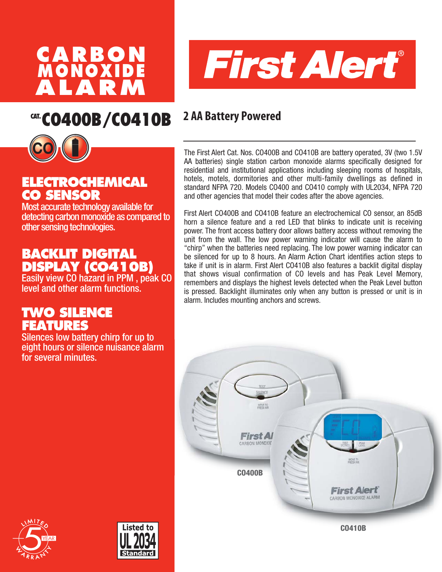



# **CAT. CO400B/CO410B 2 AA Battery Powered**



## **ELECTROCHEMICAL CO SENSOR**

Most accurate technology available for detecting carbon monoxide as compared to other sensing technologies.

## **BACKLIT DIGITAL DISPLAY (CO410B)**

Easily view CO hazard in PPM , peak CO level and other alarm functions.

### **TWO SILENCE FEATURES**

Silences low battery chirp for up to eight hours or silence nuisance alarm for several minutes.

The First Alert Cat. Nos. CO400B and CO410B are battery operated, 3V (two 1.5V AA batteries) single station carbon monoxide alarms specifically designed for residential and institutional applications including sleeping rooms of hospitals, hotels, motels, dormitories and other multi-family dwellings as defined in standard NFPA 720. Models CO400 and CO410 comply with UL2034, NFPA 720 and other agencies that model their codes after the above agencies.

First Alert CO400B and CO410B feature an electrochemical CO sensor, an 85dB horn a silence feature and a red LED that blinks to indicate unit is receiving power. The front access battery door allows battery access without removing the unit from the wall. The low power warning indicator will cause the alarm to "chirp" when the batteries need replacing. The low power warning indicator can be silenced for up to 8 hours. An Alarm Action Chart identifies action steps to take if unit is in alarm. First Alert CO410B also features a backlit digital display that shows visual confirmation of CO levels and has Peak Level Memory, remembers and displays the highest levels detected when the Peak Level button is pressed. Backlight illuminates only when any button is pressed or unit is in alarm. Includes mounting anchors and screws.